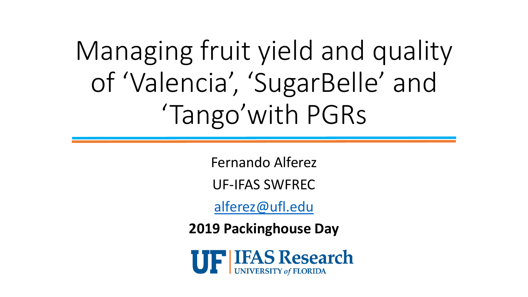Managing fruit yield and quality of 'Valencia', 'SugarBelle' and 'Tango'with PGRs

Fernando Alferez

UF-IFAS SWFREC

[alferez@ufl.edu](mailto:alferez@ufl.edu)

**2019 Packinghouse Day**

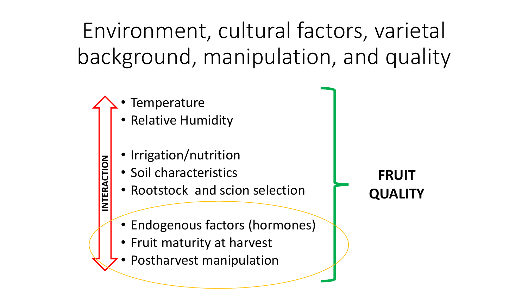Environment, cultural factors, varietal background, manipulation, and quality

**Temperature** 

**INTERACTION**

- Relative Humidity
- Irrigation/nutrition
- Soil characteristics
- Rootstock and scion selection
- Endogenous factors (hormones)
- Fruit maturity at harvest
- Postharvest manipulation

**FRUIT QUALITY**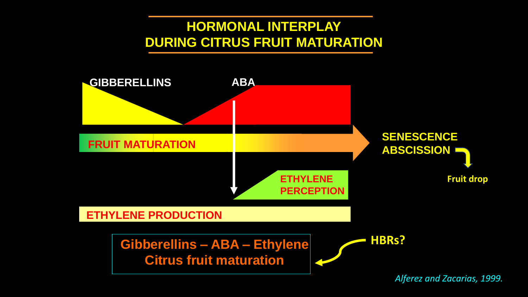#### **HORMONAL INTERPLAY DURING CITRUS FRUIT MATURATION**

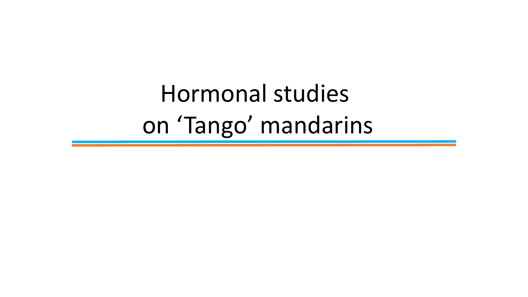Hormonal studies on 'Tango' mandarins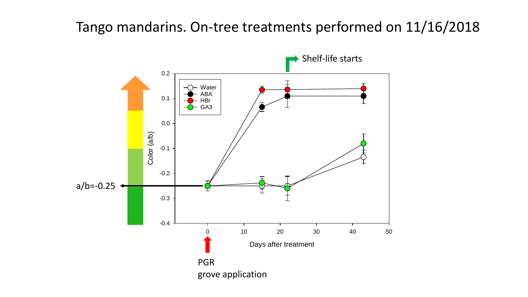#### Tango mandarins. On-tree treatments performed on 11/16/2018

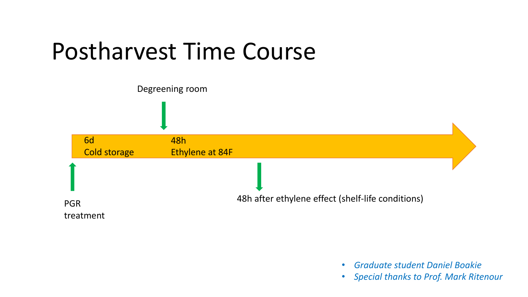### Postharvest Time Course



- *Graduate student Daniel Boakie*
- *Special thanks to Prof. Mark Ritenour*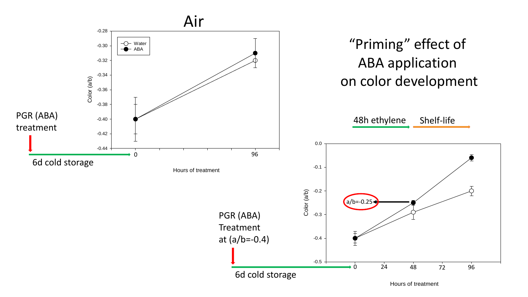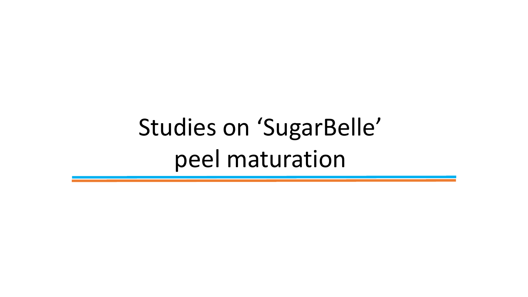## Studies on 'SugarBelle' peel maturation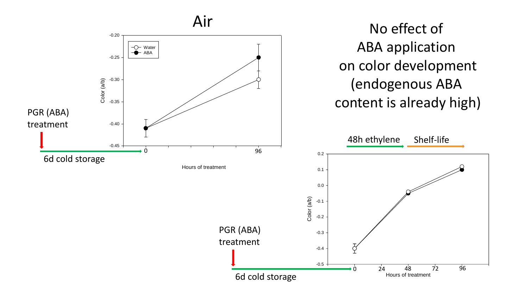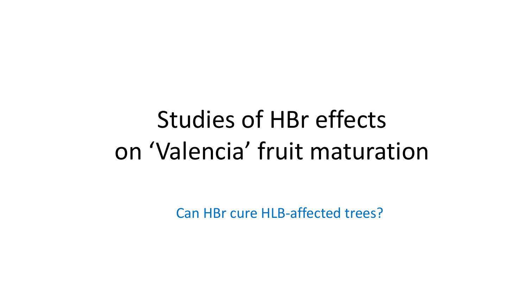## Studies of HBr effects on 'Valencia' fruit maturation

Can HBr cure HLB-affected trees?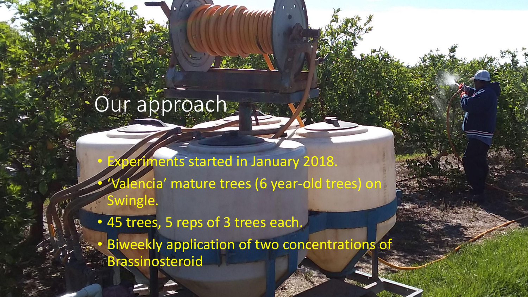# Our approach

**Experiments started in January 2018.** • 'Valencia' mature trees (6 year-old trees) on Swingle.

• 45 trees, 5 reps of 3 trees each. **Biweekly application of two concentrations of** Brassinosteroid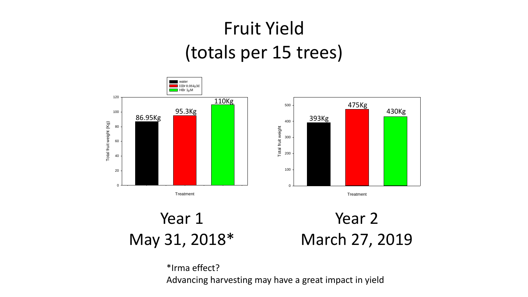#### Fruit Yield (totals per 15 trees)





**Treatment** 

#### Year 1 May 31, 2018\*



\*Irma effect? Advancing harvesting may have a great impact in yield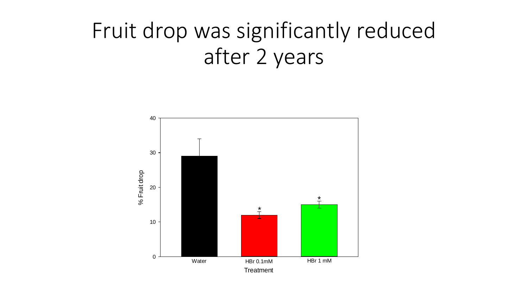### Fruit drop was significantly reduced after 2 years

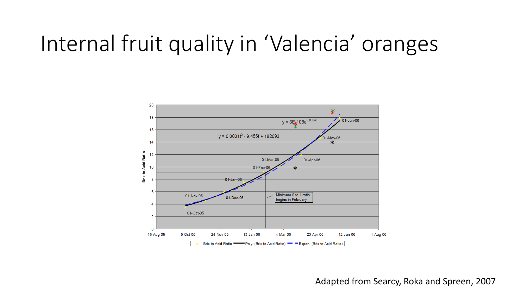### Internal fruit quality in 'Valencia' oranges



Adapted from Searcy, Roka and Spreen, 2007